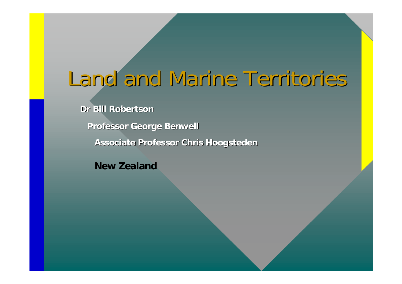# Land and Marine Territories

#### **Dr Bill Robertson Dr Bill Robertson**

**Professor George Benwell Professor George Benwell**

**Associate Professor Chris Hoogsteden Associate Professor Chris Hoogsteden**

**New Zealand**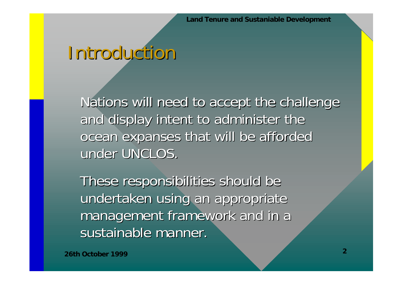#### Introduction Introduction

Nations will need to accept the challenge and display intent to administer the ocean expanses that will be afforded under UNCLOS.

These responsibilities should be undertaken using an appropriate management framework and in a sustainable manner.

**26th October 1999**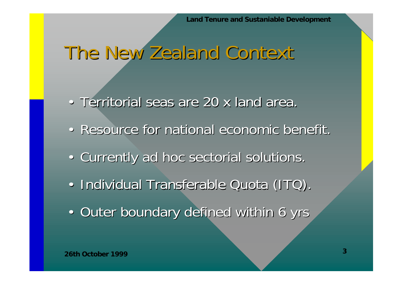#### The New Zealand Context

- Territorial seas are 20 x land area.
- Resource for national economic benefit.
- Currently ad hoc sectorial solutions.
- $\bigcirc$ · Individual Transferable Quota (ITQ).
- Outer boundary defined within 6 yrs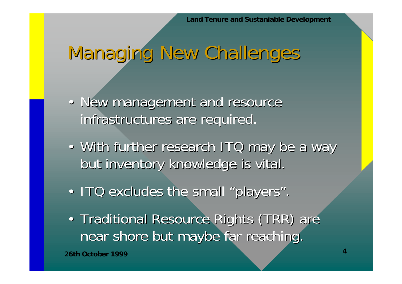# Managing New Challenges

- New management and resource infrastructures are required.
- With further research ITQ may be a way but inventory knowledge is vital.
- ITQ excludes the small "players".
- $\bullet$ • Traditional Resource Rights (TRR) are near shore but maybe far reaching.

**26th October 1999**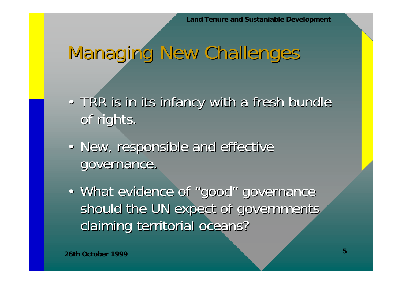# Managing New Challenges

- TRR is in its infancy with a fresh bundle of rights.
- New, responsible and effective governance.
- What evidence of "good" governance should the UN expect of governments claiming territorial oceans?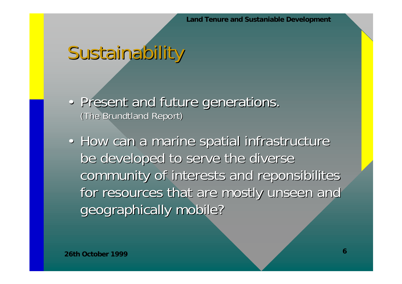## Sustainability

- Present and future generations. (The Brundtland Report)
- How can a marine spatial infrastructure be developed to serve the diverse community of interests and reponsibilites for resources that are mostly unseen and geographically mobile?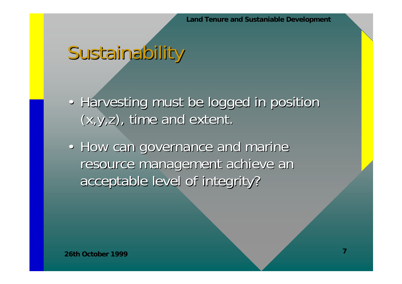## Sustainability

- Harvesting must be logged in position  $(x,y,z)$ , time and extent.
- How can governance and marine resource management achieve an acceptable level of integrity? acceptable level of integrity?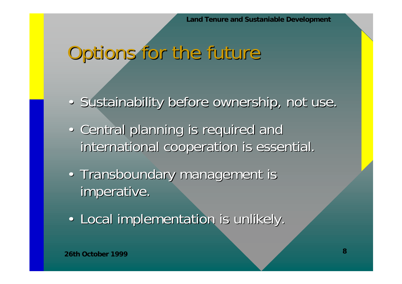## Options for the future

- Sustainability before ownership, not use.
- Central planning is required and international cooperation is essential.
- Transboundary management is imperative.
- Local implementation is unlikely.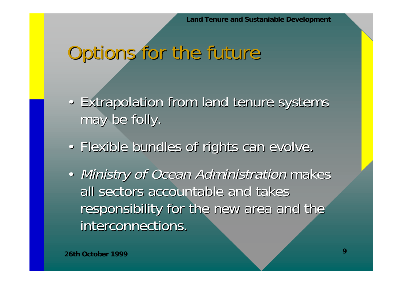#### Options for the future

- Extrapolation from land tenure systems may be folly.
- Flexible bundles of rights can evolve.
- Ministry of Ocean Administration makes all sectors accountable and takes responsibility for the new area and the interconnections.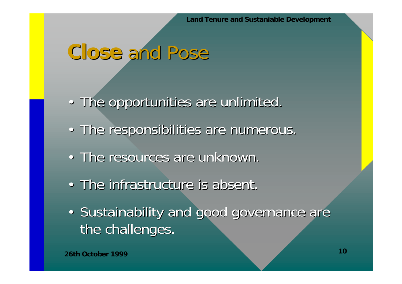#### **Close** and Pose

- The opportunities are unlimited.
- The responsibilities are numerous.
- The resources are unknown.
- The infrastructure is absent.
- Sustainability and good governance are the challenges.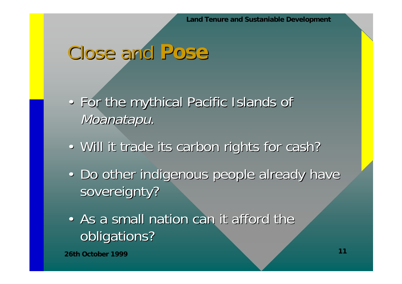#### Close and Pose

- For the mythical Pacific Islands of Moanatapu.
- Will it trade its carbon rights for cash?
- Do other indigenous people already have sovereignty?
- As a small nation can it afford the obligations?

**26th October 1999**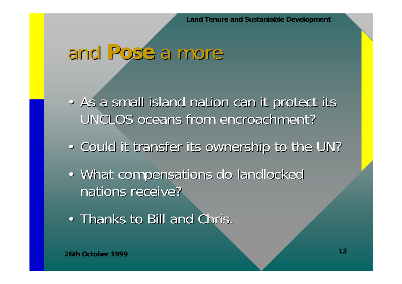#### and **Pose** a more

- As a small island nation can it protect its UNCLOS oceans from encroachment?
- Could it transfer its ownership to the UN?
- What compensations do landlocked nations receive?
- Thanks to Bill and Chris.